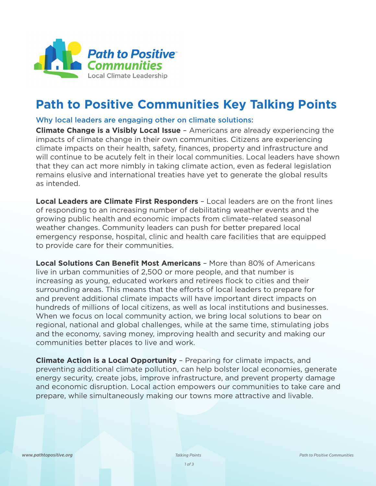

## **Path to Positive Communities Key Talking Points**

## Why local leaders are engaging other on climate solutions:

**Climate Change is a Visibly Local Issue** – Americans are already experiencing the impacts of climate change in their own communities. Citizens are experiencing climate impacts on their health, safety, finances, property and infrastructure and will continue to be acutely felt in their local communities. Local leaders have shown that they can act more nimbly in taking climate action, even as federal legislation remains elusive and international treaties have yet to generate the global results as intended.

**Local Leaders are Climate First Responders** – Local leaders are on the front lines of responding to an increasing number of debilitating weather events and the growing public health and economic impacts from climate–related seasonal weather changes. Community leaders can push for better prepared local emergency response, hospital, clinic and health care facilities that are equipped to provide care for their communities.

**Local Solutions Can Benefit Most Americans** – More than 80% of Americans live in urban communities of 2,500 or more people, and that number is increasing as young, educated workers and retirees flock to cities and their surrounding areas. This means that the efforts of local leaders to prepare for and prevent additional climate impacts will have important direct impacts on hundreds of millions of local citizens, as well as local institutions and businesses. When we focus on local community action, we bring local solutions to bear on regional, national and global challenges, while at the same time, stimulating jobs and the economy, saving money, improving health and security and making our communities better places to live and work.

**Climate Action is a Local Opportunity** – Preparing for climate impacts, and preventing additional climate pollution, can help bolster local economies, generate energy security, create jobs, improve infrastructure, and prevent property damage and economic disruption. Local action empowers our communities to take care and prepare, while simultaneously making our towns more attractive and livable.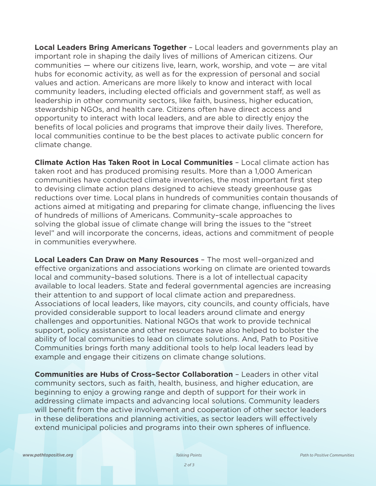**Local Leaders Bring Americans Together** – Local leaders and governments play an important role in shaping the daily lives of millions of American citizens. Our communities — where our citizens live, learn, work, worship, and vote — are vital hubs for economic activity, as well as for the expression of personal and social values and action. Americans are more likely to know and interact with local community leaders, including elected officials and government staff, as well as leadership in other community sectors, like faith, business, higher education, stewardship NGOs, and health care. Citizens often have direct access and opportunity to interact with local leaders, and are able to directly enjoy the benefits of local policies and programs that improve their daily lives. Therefore, local communities continue to be the best places to activate public concern for climate change.

**Climate Action Has Taken Root in Local Communities** – Local climate action has taken root and has produced promising results. More than a 1,000 American communities have conducted climate inventories, the most important first step to devising climate action plans designed to achieve steady greenhouse gas reductions over time. Local plans in hundreds of communities contain thousands of actions aimed at mitigating and preparing for climate change, influencing the lives of hundreds of millions of Americans. Community–scale approaches to solving the global issue of climate change will bring the issues to the "street level" and will incorporate the concerns, ideas, actions and commitment of people in communities everywhere.

**Local Leaders Can Draw on Many Resources** – The most well–organized and effective organizations and associations working on climate are oriented towards local and community–based solutions. There is a lot of intellectual capacity available to local leaders. State and federal governmental agencies are increasing their attention to and support of local climate action and preparedness. Associations of local leaders, like mayors, city councils, and county officials, have provided considerable support to local leaders around climate and energy challenges and opportunities. National NGOs that work to provide technical support, policy assistance and other resources have also helped to bolster the ability of local communities to lead on climate solutions. And, Path to Positive Communities brings forth many additional tools to help local leaders lead by example and engage their citizens on climate change solutions.

**Communities are Hubs of Cross–Sector Collaboration** – Leaders in other vital community sectors, such as faith, health, business, and higher education, are beginning to enjoy a growing range and depth of support for their work in addressing climate impacts and advancing local solutions. Community leaders will benefit from the active involvement and cooperation of other sector leaders in these deliberations and planning activities, as sector leaders will effectively extend municipal policies and programs into their own spheres of influence.